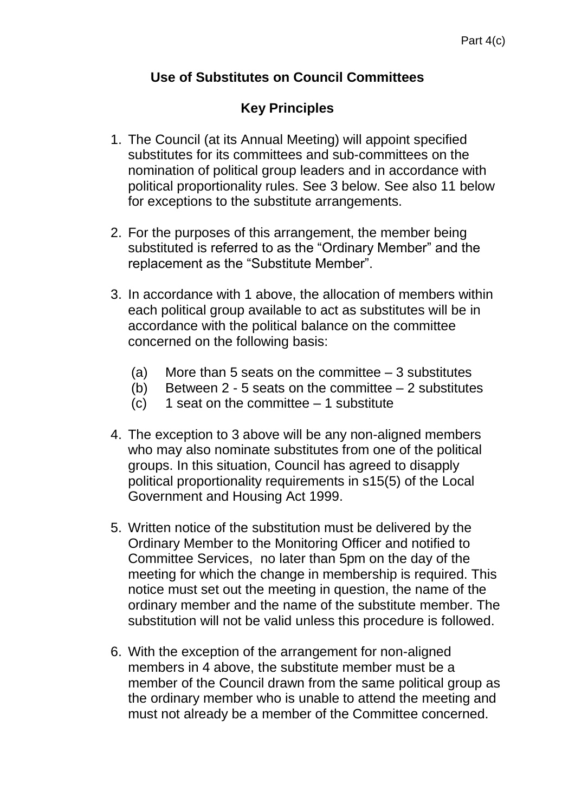## **Use of Substitutes on Council Committees**

## **Key Principles**

- 1. The Council (at its Annual Meeting) will appoint specified substitutes for its committees and sub-committees on the nomination of political group leaders and in accordance with political proportionality rules. See 3 below. See also 11 below for exceptions to the substitute arrangements.
- 2. For the purposes of this arrangement, the member being substituted is referred to as the "Ordinary Member" and the replacement as the "Substitute Member".
- 3. In accordance with 1 above, the allocation of members within each political group available to act as substitutes will be in accordance with the political balance on the committee concerned on the following basis:
	- (a) More than 5 seats on the committee 3 substitutes
	- (b) Between  $2 5$  seats on the committee  $-2$  substitutes
	- $(c)$  1 seat on the committee  $-1$  substitute
- 4. The exception to 3 above will be any non-aligned members who may also nominate substitutes from one of the political groups. In this situation, Council has agreed to disapply political proportionality requirements in s15(5) of the Local Government and Housing Act 1999.
- 5. Written notice of the substitution must be delivered by the Ordinary Member to the Monitoring Officer and notified to Committee Services, no later than 5pm on the day of the meeting for which the change in membership is required. This notice must set out the meeting in question, the name of the ordinary member and the name of the substitute member. The substitution will not be valid unless this procedure is followed.
- 6. With the exception of the arrangement for non-aligned members in 4 above, the substitute member must be a member of the Council drawn from the same political group as the ordinary member who is unable to attend the meeting and must not already be a member of the Committee concerned.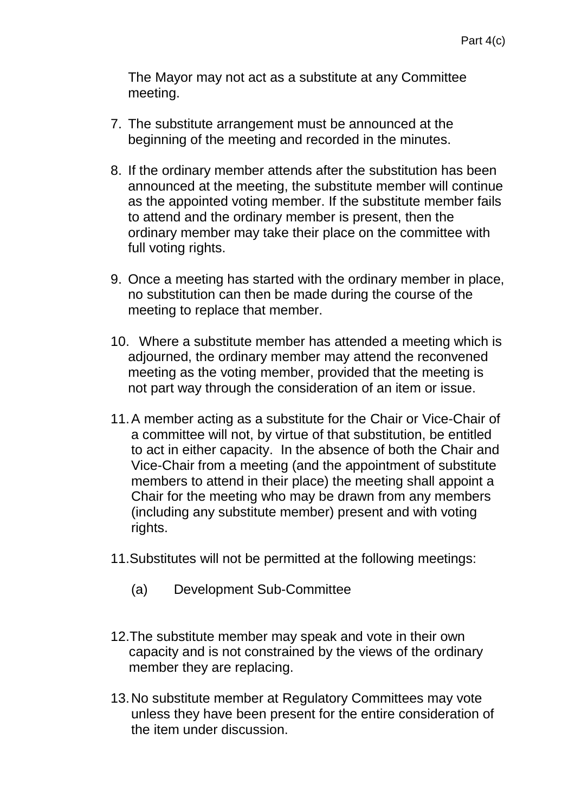The Mayor may not act as a substitute at any Committee meeting.

- 7. The substitute arrangement must be announced at the beginning of the meeting and recorded in the minutes.
- 8. If the ordinary member attends after the substitution has been announced at the meeting, the substitute member will continue as the appointed voting member. If the substitute member fails to attend and the ordinary member is present, then the ordinary member may take their place on the committee with full voting rights.
- 9. Once a meeting has started with the ordinary member in place, no substitution can then be made during the course of the meeting to replace that member.
- 10. Where a substitute member has attended a meeting which is adjourned, the ordinary member may attend the reconvened meeting as the voting member, provided that the meeting is not part way through the consideration of an item or issue.
- 11.A member acting as a substitute for the Chair or Vice-Chair of a committee will not, by virtue of that substitution, be entitled to act in either capacity. In the absence of both the Chair and Vice-Chair from a meeting (and the appointment of substitute members to attend in their place) the meeting shall appoint a Chair for the meeting who may be drawn from any members (including any substitute member) present and with voting rights.
- 11.Substitutes will not be permitted at the following meetings:
	- (a) Development Sub-Committee
- 12.The substitute member may speak and vote in their own capacity and is not constrained by the views of the ordinary member they are replacing.
- 13.No substitute member at Regulatory Committees may vote unless they have been present for the entire consideration of the item under discussion.